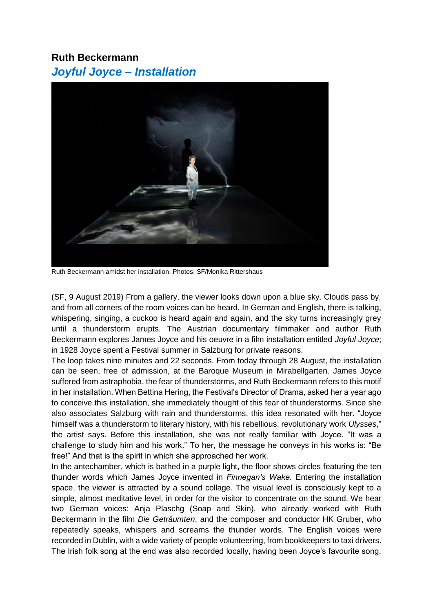## **[Ruth Beckermann](https://www.salzburgerfestspiele.at/a/ruth-beckermann)** *Joyful Joyce – Installation*



Ruth Beckermann amidst her installation. Photos: SF/Monika Rittershaus

(SF, 9 August 2019) From a gallery, the viewer looks down upon a blue sky. Clouds pass by, and from all corners of the room voices can be heard. In German and English, there is talking, whispering, singing, a cuckoo is heard again and again, and the sky turns increasingly grey until a thunderstorm erupts. The Austrian documentary filmmaker and author Ruth Beckermann explores James Joyce and his oeuvre in a film installation entitled *Joyful Joyce*; in 1928 Joyce spent a Festival summer in Salzburg for private reasons.

The loop takes nine minutes and 22 seconds. From today through 28 August, the installation can be seen, free of admission, at the Baroque Museum in Mirabellgarten. James Joyce suffered from astraphobia, the fear of thunderstorms, and Ruth Beckermann refers to this motif in her installation. When Bettina Hering, the Festival's Director of Drama, asked her a year ago to conceive this installation, she immediately thought of this fear of thunderstorms. Since she also associates Salzburg with rain and thunderstorms, this idea resonated with her. "Joyce himself was a thunderstorm to literary history, with his rebellious, revolutionary work *Ulysses*," the artist says. Before this installation, she was not really familiar with Joyce. "It was a challenge to study him and his work." To her, the message he conveys in his works is: "Be free!" And that is the spirit in which she approached her work.

In the antechamber, which is bathed in a purple light, the floor shows circles featuring the ten thunder words which James Joyce invented in *Finnegan's Wake*. Entering the installation space, the viewer is attracted by a sound collage. The visual level is consciously kept to a simple, almost meditative level, in order for the visitor to concentrate on the sound. We hear two German voices: Anja Plaschg (Soap and Skin), who already worked with Ruth Beckermann in the film *Die Geträumten*, and the composer and conductor HK Gruber, who repeatedly speaks, whispers and screams the thunder words. The English voices were recorded in Dublin, with a wide variety of people volunteering, from bookkeepers to taxi drivers. The Irish folk song at the end was also recorded locally, having been Joyce's favourite song.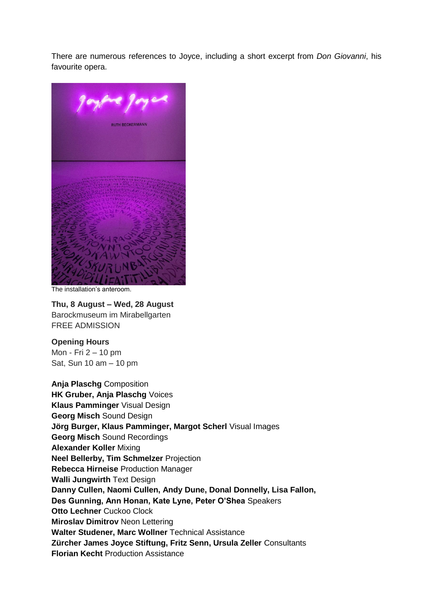There are numerous references to Joyce, including a short excerpt from *Don Giovanni*, his favourite opera.



The installation's anteroom.

**Thu, 8 August – Wed, 28 August**  Barockmuseum im Mirabellgarten FREE ADMISSION

**Opening Hours** Mon - Fri 2 – 10 pm Sat, Sun 10 am – 10 pm

**Anja Plaschg** Composition **HK Gruber, Anja Plaschg** Voices **Klaus Pamminger** Visual Design **Georg Misch** Sound Design **Jörg Burger, Klaus Pamminger, Margot Scherl** Visual Images **Georg Misch** Sound Recordings **Alexander Koller** Mixing **Neel Bellerby, Tim Schmelzer** Projection **Rebecca Hirneise** Production Manager **Walli Jungwirth** Text Design **Danny Cullen, Naomi Cullen, Andy Dune, Donal Donnelly, Lisa Fallon, Des Gunning, Ann Honan, Kate Lyne, Peter O'Shea** Speakers **Otto Lechner** Cuckoo Clock **Miroslav Dimitrov** Neon Lettering **Walter Studener, Marc Wollner** Technical Assistance **Zürcher James Joyce Stiftung, Fritz Senn, Ursula Zeller** Consultants **Florian Kecht** Production Assistance